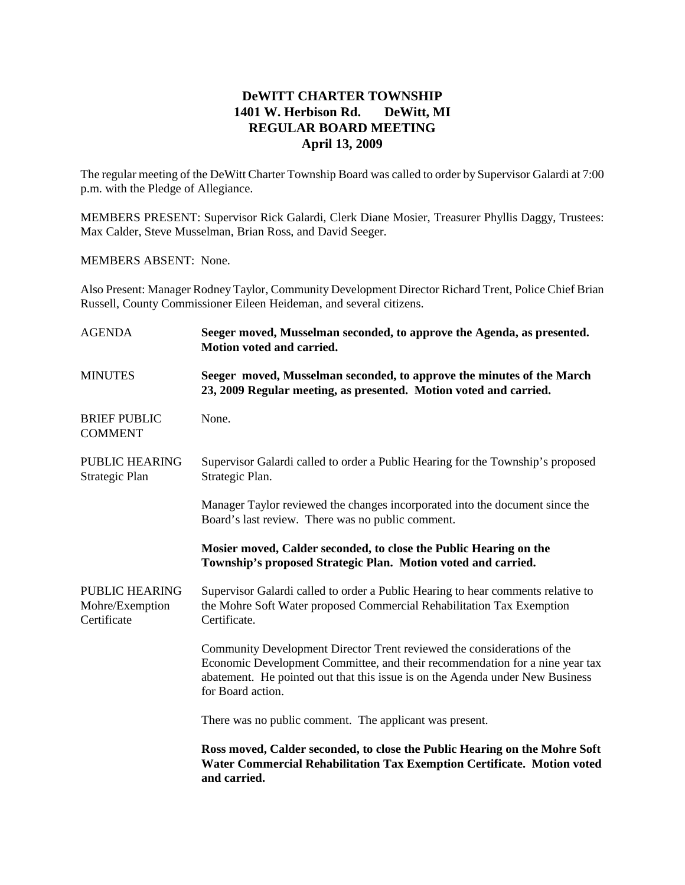## **DeWITT CHARTER TOWNSHIP 1401 W. Herbison Rd. DeWitt, MI REGULAR BOARD MEETING April 13, 2009**

The regular meeting of the DeWitt Charter Township Board was called to order by Supervisor Galardi at 7:00 p.m. with the Pledge of Allegiance.

MEMBERS PRESENT: Supervisor Rick Galardi, Clerk Diane Mosier, Treasurer Phyllis Daggy, Trustees: Max Calder, Steve Musselman, Brian Ross, and David Seeger.

MEMBERS ABSENT: None.

Also Present: Manager Rodney Taylor, Community Development Director Richard Trent, Police Chief Brian Russell, County Commissioner Eileen Heideman, and several citizens.

| <b>AGENDA</b>                                           | Seeger moved, Musselman seconded, to approve the Agenda, as presented.<br>Motion voted and carried.                                                                                                                                                           |
|---------------------------------------------------------|---------------------------------------------------------------------------------------------------------------------------------------------------------------------------------------------------------------------------------------------------------------|
| <b>MINUTES</b>                                          | Seeger moved, Musselman seconded, to approve the minutes of the March<br>23, 2009 Regular meeting, as presented. Motion voted and carried.                                                                                                                    |
| <b>BRIEF PUBLIC</b><br><b>COMMENT</b>                   | None.                                                                                                                                                                                                                                                         |
| PUBLIC HEARING<br>Strategic Plan                        | Supervisor Galardi called to order a Public Hearing for the Township's proposed<br>Strategic Plan.                                                                                                                                                            |
|                                                         | Manager Taylor reviewed the changes incorporated into the document since the<br>Board's last review. There was no public comment.                                                                                                                             |
|                                                         | Mosier moved, Calder seconded, to close the Public Hearing on the<br>Township's proposed Strategic Plan. Motion voted and carried.                                                                                                                            |
| <b>PUBLIC HEARING</b><br>Mohre/Exemption<br>Certificate | Supervisor Galardi called to order a Public Hearing to hear comments relative to<br>the Mohre Soft Water proposed Commercial Rehabilitation Tax Exemption<br>Certificate.                                                                                     |
|                                                         | Community Development Director Trent reviewed the considerations of the<br>Economic Development Committee, and their recommendation for a nine year tax<br>abatement. He pointed out that this issue is on the Agenda under New Business<br>for Board action. |
|                                                         | There was no public comment. The applicant was present.                                                                                                                                                                                                       |
|                                                         | Ross moved, Calder seconded, to close the Public Hearing on the Mohre Soft<br>Water Commercial Rehabilitation Tax Exemption Certificate. Motion voted<br>and carried.                                                                                         |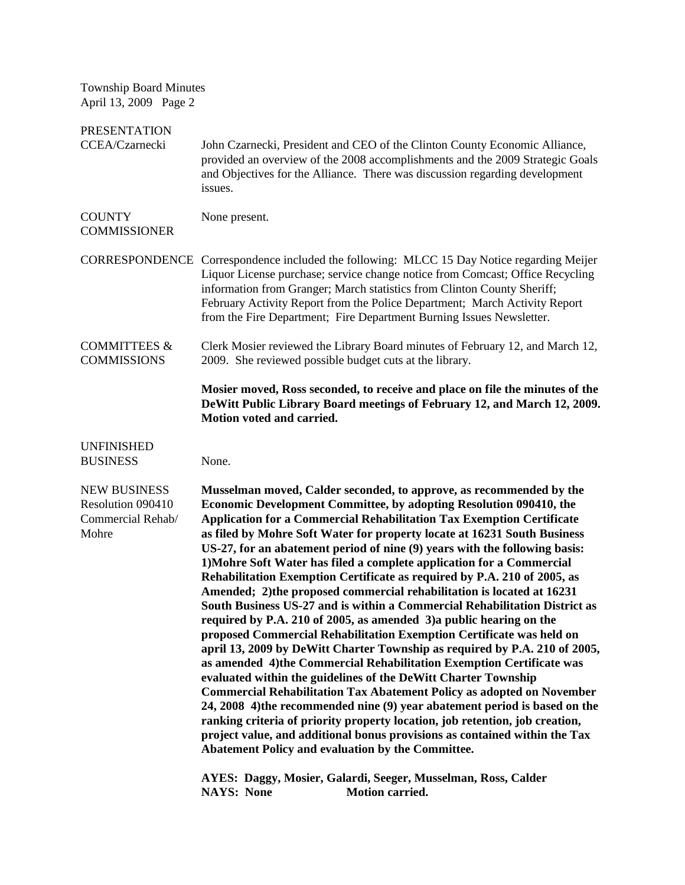| <b>Township Board Minutes</b><br>April 13, 2009 Page 2                 |                                                                                                                                                                                                                                                                                                                                                                                                                                                                                                                                                                                                                                                                                                                                                                                                                                                                                                                                                                                                                                                                                                                                                                                                                                                                                                                                                                                                                                                                                                                                                            |
|------------------------------------------------------------------------|------------------------------------------------------------------------------------------------------------------------------------------------------------------------------------------------------------------------------------------------------------------------------------------------------------------------------------------------------------------------------------------------------------------------------------------------------------------------------------------------------------------------------------------------------------------------------------------------------------------------------------------------------------------------------------------------------------------------------------------------------------------------------------------------------------------------------------------------------------------------------------------------------------------------------------------------------------------------------------------------------------------------------------------------------------------------------------------------------------------------------------------------------------------------------------------------------------------------------------------------------------------------------------------------------------------------------------------------------------------------------------------------------------------------------------------------------------------------------------------------------------------------------------------------------------|
| <b>PRESENTATION</b><br>CCEA/Czarnecki                                  | John Czarnecki, President and CEO of the Clinton County Economic Alliance,<br>provided an overview of the 2008 accomplishments and the 2009 Strategic Goals<br>and Objectives for the Alliance. There was discussion regarding development<br>issues.                                                                                                                                                                                                                                                                                                                                                                                                                                                                                                                                                                                                                                                                                                                                                                                                                                                                                                                                                                                                                                                                                                                                                                                                                                                                                                      |
| <b>COUNTY</b><br><b>COMMISSIONER</b>                                   | None present.                                                                                                                                                                                                                                                                                                                                                                                                                                                                                                                                                                                                                                                                                                                                                                                                                                                                                                                                                                                                                                                                                                                                                                                                                                                                                                                                                                                                                                                                                                                                              |
|                                                                        | CORRESPONDENCE Correspondence included the following: MLCC 15 Day Notice regarding Meijer<br>Liquor License purchase; service change notice from Comcast; Office Recycling<br>information from Granger; March statistics from Clinton County Sheriff;<br>February Activity Report from the Police Department; March Activity Report<br>from the Fire Department; Fire Department Burning Issues Newsletter.                                                                                                                                                                                                                                                                                                                                                                                                                                                                                                                                                                                                                                                                                                                                                                                                                                                                                                                                                                                                                                                                                                                                                |
| <b>COMMITTEES &amp;</b><br><b>COMMISSIONS</b>                          | Clerk Mosier reviewed the Library Board minutes of February 12, and March 12,<br>2009. She reviewed possible budget cuts at the library.                                                                                                                                                                                                                                                                                                                                                                                                                                                                                                                                                                                                                                                                                                                                                                                                                                                                                                                                                                                                                                                                                                                                                                                                                                                                                                                                                                                                                   |
|                                                                        | Mosier moved, Ross seconded, to receive and place on file the minutes of the<br>DeWitt Public Library Board meetings of February 12, and March 12, 2009.<br>Motion voted and carried.                                                                                                                                                                                                                                                                                                                                                                                                                                                                                                                                                                                                                                                                                                                                                                                                                                                                                                                                                                                                                                                                                                                                                                                                                                                                                                                                                                      |
| <b>UNFINISHED</b><br><b>BUSINESS</b>                                   | None.                                                                                                                                                                                                                                                                                                                                                                                                                                                                                                                                                                                                                                                                                                                                                                                                                                                                                                                                                                                                                                                                                                                                                                                                                                                                                                                                                                                                                                                                                                                                                      |
| <b>NEW BUSINESS</b><br>Resolution 090410<br>Commercial Rehab/<br>Mohre | Musselman moved, Calder seconded, to approve, as recommended by the<br>Economic Development Committee, by adopting Resolution 090410, the<br>Application for a Commercial Rehabilitation Tax Exemption Certificate<br>as filed by Mohre Soft Water for property locate at 16231 South Business<br>US-27, for an abatement period of nine (9) years with the following basis:<br>1) Mohre Soft Water has filed a complete application for a Commercial<br>Rehabilitation Exemption Certificate as required by P.A. 210 of 2005, as<br>Amended; 2) the proposed commercial rehabilitation is located at 16231<br>South Business US-27 and is within a Commercial Rehabilitation District as<br>required by P.A. 210 of 2005, as amended 3) a public hearing on the<br>proposed Commercial Rehabilitation Exemption Certificate was held on<br>april 13, 2009 by DeWitt Charter Township as required by P.A. 210 of 2005,<br>as amended 4)the Commercial Rehabilitation Exemption Certificate was<br>evaluated within the guidelines of the DeWitt Charter Township<br><b>Commercial Rehabilitation Tax Abatement Policy as adopted on November</b><br>24, 2008 4) the recommended nine (9) year abatement period is based on the<br>ranking criteria of priority property location, job retention, job creation,<br>project value, and additional bonus provisions as contained within the Tax<br>Abatement Policy and evaluation by the Committee.<br>AYES: Daggy, Mosier, Galardi, Seeger, Musselman, Ross, Calder<br><b>NAYS: None</b><br>Motion carried. |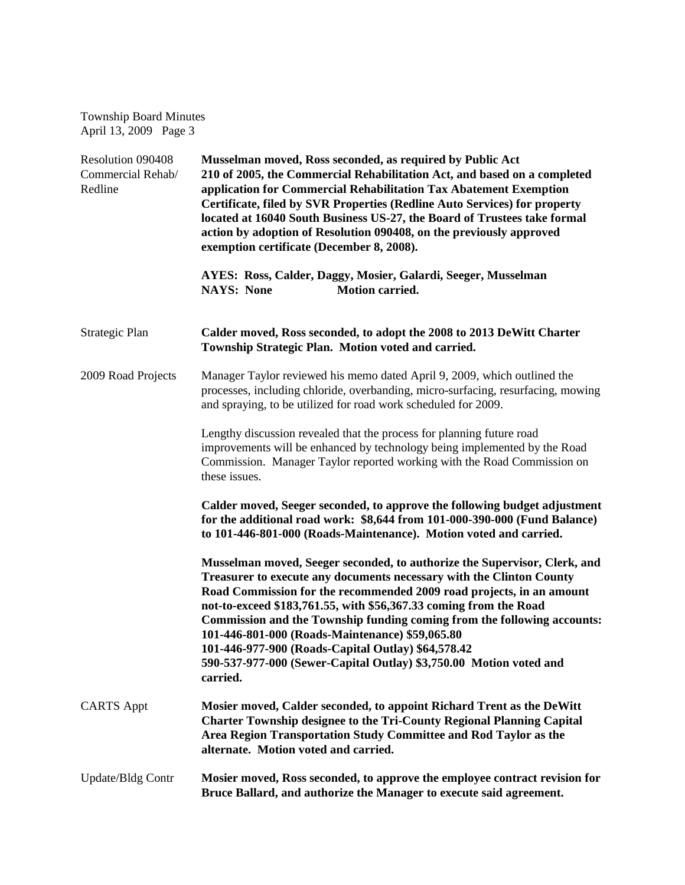Township Board Minutes April 13, 2009 Page 3

| Resolution 090408<br>Commercial Rehab/<br>Redline | Musselman moved, Ross seconded, as required by Public Act<br>210 of 2005, the Commercial Rehabilitation Act, and based on a completed<br>application for Commercial Rehabilitation Tax Abatement Exemption<br>Certificate, filed by SVR Properties (Redline Auto Services) for property<br>located at 16040 South Business US-27, the Board of Trustees take formal<br>action by adoption of Resolution 090408, on the previously approved<br>exemption certificate (December 8, 2008).                                                                              |
|---------------------------------------------------|----------------------------------------------------------------------------------------------------------------------------------------------------------------------------------------------------------------------------------------------------------------------------------------------------------------------------------------------------------------------------------------------------------------------------------------------------------------------------------------------------------------------------------------------------------------------|
|                                                   | AYES: Ross, Calder, Daggy, Mosier, Galardi, Seeger, Musselman<br><b>NAYS: None</b><br>Motion carried.                                                                                                                                                                                                                                                                                                                                                                                                                                                                |
| Strategic Plan                                    | Calder moved, Ross seconded, to adopt the 2008 to 2013 DeWitt Charter<br>Township Strategic Plan. Motion voted and carried.                                                                                                                                                                                                                                                                                                                                                                                                                                          |
| 2009 Road Projects                                | Manager Taylor reviewed his memo dated April 9, 2009, which outlined the<br>processes, including chloride, overbanding, micro-surfacing, resurfacing, mowing<br>and spraying, to be utilized for road work scheduled for 2009.                                                                                                                                                                                                                                                                                                                                       |
|                                                   | Lengthy discussion revealed that the process for planning future road<br>improvements will be enhanced by technology being implemented by the Road<br>Commission. Manager Taylor reported working with the Road Commission on<br>these issues.                                                                                                                                                                                                                                                                                                                       |
|                                                   | Calder moved, Seeger seconded, to approve the following budget adjustment<br>for the additional road work: \$8,644 from 101-000-390-000 (Fund Balance)<br>to 101-446-801-000 (Roads-Maintenance). Motion voted and carried.                                                                                                                                                                                                                                                                                                                                          |
|                                                   | Musselman moved, Seeger seconded, to authorize the Supervisor, Clerk, and<br>Treasurer to execute any documents necessary with the Clinton County<br>Road Commission for the recommended 2009 road projects, in an amount<br>not-to-exceed \$183,761.55, with \$56,367.33 coming from the Road<br>Commission and the Township funding coming from the following accounts:<br>101-446-801-000 (Roads-Maintenance) \$59,065.80<br>101-446-977-900 (Roads-Capital Outlay) \$64,578.42<br>590-537-977-000 (Sewer-Capital Outlay) \$3,750.00 Motion voted and<br>carried. |
| <b>CARTS Appt</b>                                 | Mosier moved, Calder seconded, to appoint Richard Trent as the DeWitt<br><b>Charter Township designee to the Tri-County Regional Planning Capital</b><br>Area Region Transportation Study Committee and Rod Taylor as the<br>alternate. Motion voted and carried.                                                                                                                                                                                                                                                                                                    |
| <b>Update/Bldg Contr</b>                          | Mosier moved, Ross seconded, to approve the employee contract revision for<br>Bruce Ballard, and authorize the Manager to execute said agreement.                                                                                                                                                                                                                                                                                                                                                                                                                    |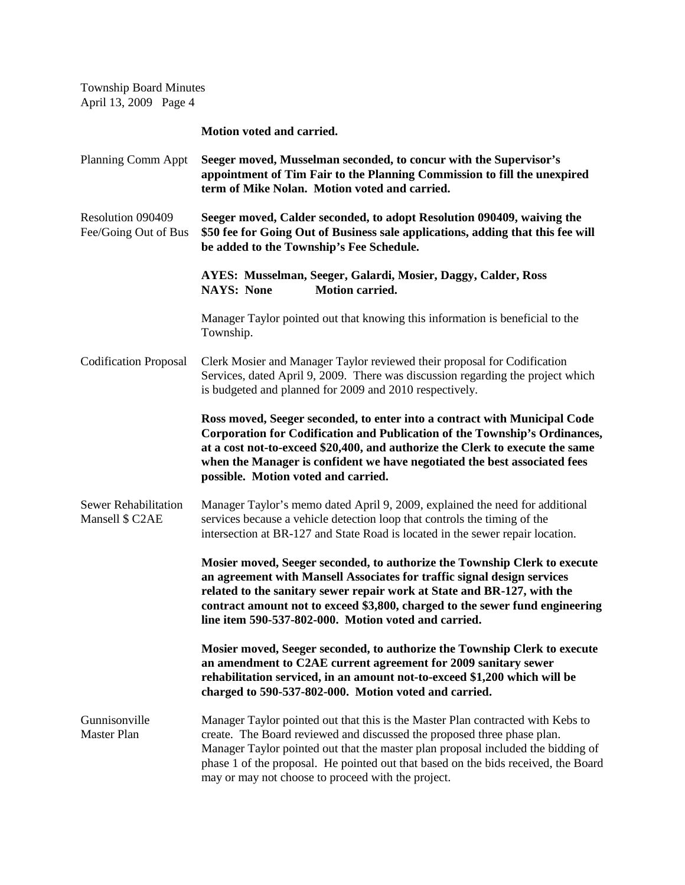Township Board Minutes April 13, 2009 Page 4

**Motion voted and carried.**

Planning Comm Appt **Seeger moved, Musselman seconded, to concur with the Supervisor's appointment of Tim Fair to the Planning Commission to fill the unexpired term of Mike Nolan. Motion voted and carried.** Resolution 090409 **Seeger moved, Calder seconded, to adopt Resolution 090409, waiving the** Fee/Going Out of Bus **\$50 fee for Going Out of Business sale applications, adding that this fee will be added to the Township's Fee Schedule. AYES: Musselman, Seeger, Galardi, Mosier, Daggy, Calder, Ross NAYS: None Motion carried.** Manager Taylor pointed out that knowing this information is beneficial to the Township. Codification Proposal Clerk Mosier and Manager Taylor reviewed their proposal for Codification Services, dated April 9, 2009. There was discussion regarding the project which is budgeted and planned for 2009 and 2010 respectively. **Ross moved, Seeger seconded, to enter into a contract with Municipal Code Corporation for Codification and Publication of the Township's Ordinances, at a cost not-to-exceed \$20,400, and authorize the Clerk to execute the same when the Manager is confident we have negotiated the best associated fees possible. Motion voted and carried.** Sewer Rehabilitation Manager Taylor's memo dated April 9, 2009, explained the need for additional Mansell \$ C2AE services because a vehicle detection loop that controls the timing of the intersection at BR-127 and State Road is located in the sewer repair location. **Mosier moved, Seeger seconded, to authorize the Township Clerk to execute an agreement with Mansell Associates for traffic signal design services related to the sanitary sewer repair work at State and BR-127, with the contract amount not to exceed \$3,800, charged to the sewer fund engineering line item 590-537-802-000. Motion voted and carried. Mosier moved, Seeger seconded, to authorize the Township Clerk to execute an amendment to C2AE current agreement for 2009 sanitary sewer rehabilitation serviced, in an amount not-to-exceed \$1,200 which will be charged to 590-537-802-000. Motion voted and carried.** Gunnisonville Manager Taylor pointed out that this is the Master Plan contracted with Kebs to Master Plan create. The Board reviewed and discussed the proposed three phase plan. Manager Taylor pointed out that the master plan proposal included the bidding of phase 1 of the proposal. He pointed out that based on the bids received, the Board may or may not choose to proceed with the project.